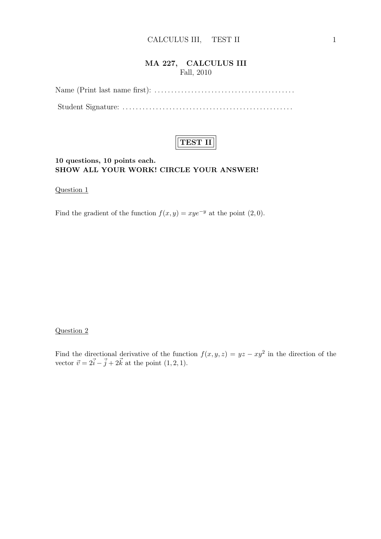## **MA 227, CALCULUS III** Fall, 2010

Name (Print last name first): *. . . . . . . . . . . . . . . . . . . . . . . . . . . . . . . . . . . . . . . . . .* Student Signature: *. . . . . . . . . . . . . . . . . . . . . . . . . . . . . . . . . . . . . . . . . . . . . . . . . . .*



### **10 questions, 10 points each. SHOW ALL YOUR WORK! CIRCLE YOUR ANSWER!**

Question 1

Find the gradient of the function  $f(x, y) = xye^{-y}$  at the point (2,0).

#### Question 2

Find the directional derivative of the function  $f(x, y, z) = yz - xy^2$  in the direction of the vector  $\vec{v} = 2\vec{i} - \vec{j} + 2\vec{k}$  at the point  $(1, 2, 1)$ .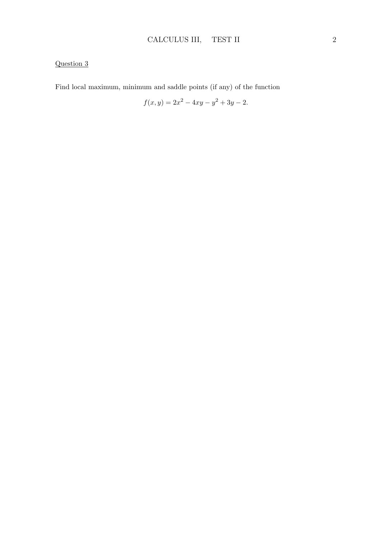Find local maximum, minimum and saddle points (if any) of the function

$$
f(x,y) = 2x^2 - 4xy - y^2 + 3y - 2.
$$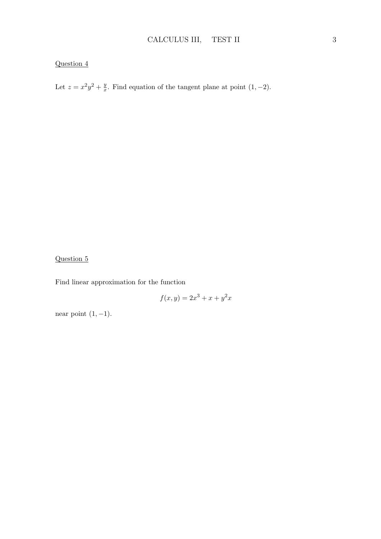Let  $z = x^2y^2 + \frac{y}{x}$  $\frac{y}{x}$ . Find equation of the tangent plane at point (1*,* −2).

### Question 5

Find linear approximation for the function

$$
f(x,y) = 2x^3 + x + y^2x
$$

near point (1*, −*1).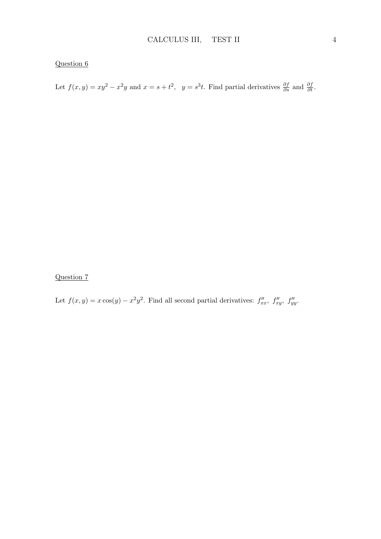Let  $f(x, y) = xy^2 - x^2y$  and  $x = s + t^2$ ,  $y = s^3t$ . Find partial derivatives  $\frac{\partial f}{\partial s}$  and  $\frac{\partial f}{\partial t}$ .

Question 7

Let  $f(x, y) = x \cos(y) - x^2 y^2$ . Find all second partial derivatives:  $f''_{xx}$ ,  $f''_{xy}$ ,  $f''_{yy}$ .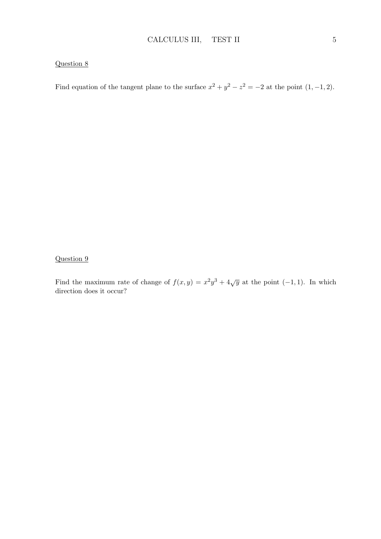Find equation of the tangent plane to the surface  $x^2 + y^2 - z^2 = -2$  at the point  $(1, -1, 2)$ .

Question 9

Find the maximum rate of change of  $f(x,y) = x^2y^3 + 4\sqrt{y}$  at the point  $(-1,1)$ . In which direction does it occur?